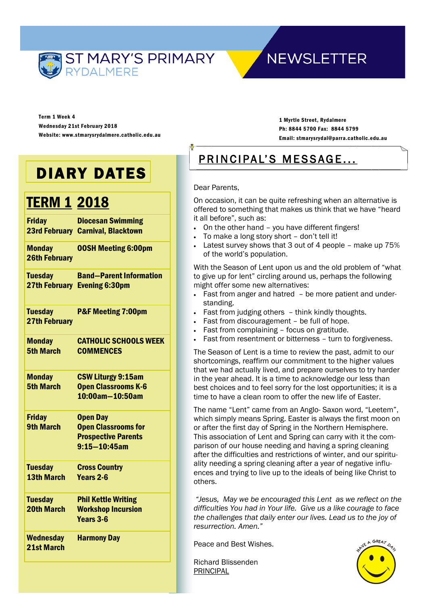

## **NEWSLETTER**

Term 1 Week 4 Wednesday 21st February 2018 Website: www.stmarysrydalmere.catholic.edu.au

1 Myrtle Street, Rydalmere Ph: 8844 5700 Fax: 8844 5799 Email: stmarysrydal@parra.catholic.edu.au

# DIARY DATES

## **TERM 1 2018**

| <b>Friday</b>                          | <b>Diocesan Swimming</b><br><b>23rd February Carnival, Blacktown</b>                             |
|----------------------------------------|--------------------------------------------------------------------------------------------------|
| <b>Monday</b><br><b>26th February</b>  | <b>00SH Meeting 6:00pm</b>                                                                       |
| <b>Tuesday</b>                         | <b>Band-Parent Information</b><br>27th February Evening 6:30pm                                   |
| <b>Tuesday</b><br><b>27th February</b> | <b>P&amp;F Meeting 7:00pm</b>                                                                    |
| <b>Monday</b><br><b>5th March</b>      | <b>CATHOLIC SCHOOLS WEEK</b><br><b>COMMENCES</b>                                                 |
| <b>Monday</b><br><b>5th March</b>      | <b>CSW Liturgy 9:15am</b><br><b>Open Classrooms K-6</b><br>10:00am-10:50am                       |
| <b>Friday</b><br><b>9th March</b>      | <b>Open Day</b><br><b>Open Classrooms for</b><br><b>Prospective Parents</b><br>$9:15 - 10:45$ am |
| <b>Tuesday</b><br><b>13th March</b>    | <b>Cross Country</b><br>Years 2-6                                                                |
| <b>Tuesday</b><br><b>20th March</b>    | <b>Phil Kettle Writing</b><br><b>Workshop Incursion</b><br>Years 3-6                             |
| <b>Wednesday</b><br>21st March         | <b>Harmony Day</b>                                                                               |

## PRINCIPAL'S MESSAGE...

## Dear Parents,

On occasion, it can be quite refreshing when an alternative is offered to something that makes us think that we have "heard it all before", such as:

- On the other hand you have different fingers!
- To make a long story short don't tell it!
- Latest survey shows that 3 out of 4 people make up 75% of the world's population.

With the Season of Lent upon us and the old problem of "what to give up for lent" circling around us, perhaps the following might offer some new alternatives:

- Fast from anger and hatred be more patient and understanding.
- Fast from judging others think kindly thoughts.
- Fast from discouragement be full of hope.
- Fast from complaining focus on gratitude.
- Fast from resentment or bitterness turn to forgiveness.

The Season of Lent is a time to review the past, admit to our shortcomings, reaffirm our commitment to the higher values that we had actually lived, and prepare ourselves to try harder in the year ahead. It is a time to acknowledge our less than best choices and to feel sorry for the lost opportunities; it is a time to have a clean room to offer the new life of Easter.

The name "Lent" came from an Anglo- Saxon word, "Leetem", which simply means Spring. Easter is always the first moon on or after the first day of Spring in the Northern Hemisphere. This association of Lent and Spring can carry with it the comparison of our house needing and having a spring cleaning after the difficulties and restrictions of winter, and our spirituality needing a spring cleaning after a year of negative influences and trying to live up to the ideals of being like Christ to others.

*"Jesus, May we be encouraged this Lent as we reflect on the difficulties You had in Your life. Give us a like courage to face the challenges that daily enter our lives. Lead us to the joy of resurrection. Amen."*

Peace and Best Wishes.

Richard Blissenden PRINCIPAL

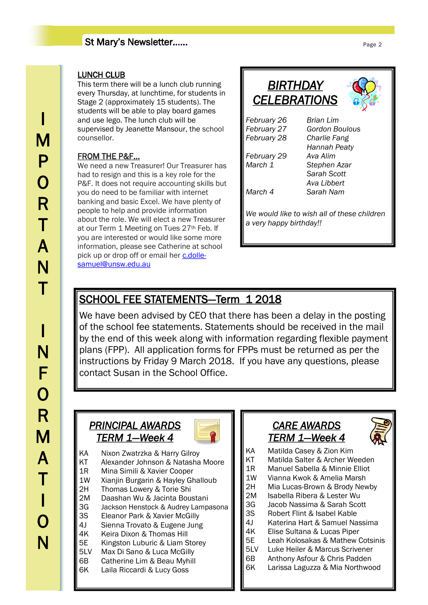## St Mary's Newsletter……

## LUNCH CLUB

This term there will be a lunch club running every Thursday, at lunchtime, for students in Stage 2 (approximately 15 students). The students will be able to play board games and use lego. The lunch club will be supervised by Jeanette Mansour, the school counsellor.

## FROM THE P&F...

We need a new Treasurer! Our Treasurer has had to resign and this is a key role for the P&F. It does not require accounting skills but you do need to be familiar with internet banking and basic Excel. We have plenty of people to help and provide information about the role. We will elect a new Treasurer at our Term 1 Meeting on Tues 27<sup>th</sup> Feb. If you are interested or would like some more information, please see Catherine at school pick up or drop off or email her [c.dolle](mailto:c.dolle-samuel@unsw.edu.au)[samuel@unsw.edu.au](mailto:c.dolle-samuel@unsw.edu.au)

| BIRTHDAY<br><b>CELEBRATIONS</b>                                        |                |  |
|------------------------------------------------------------------------|----------------|--|
| February 26                                                            | Brian Lim      |  |
| February 27                                                            | Gordon Boulous |  |
| February 28                                                            | Charlie Fang   |  |
|                                                                        | Hannah Peaty   |  |
| February 29                                                            | Ava Alim       |  |
| March 1                                                                | Stephen Azar   |  |
|                                                                        | Sarah Scott    |  |
|                                                                        | Ava Libbert    |  |
| March 4                                                                | Sarah Nam      |  |
| We would like to wish all of these children<br>a very happy birthday!! |                |  |

## SCHOOL FEE STATEMENTS-Term 1 2018

We have been advised by CEO that there has been a delay in the posting of the school fee statements. Statements should be received in the mail by the end of this week along with information regarding flexible payment plans (FPP). All application forms for FPPs must be returned as per the instructions by Friday 9 March 2018. If you have any questions, please contact Susan in the School Office.

## **PRINCIPAL AWARDS** *TERM 1—Week 4*



KA Nixon Zwatrzka & Harry Gilroy KT Alexander Johnson & Natasha Moore 1R Mina Simili & Xavier Cooper 1W Xianjin Burgarin & Hayley Ghalloub 2H Thomas Lowery & Torie Shi 2M Daashan Wu & Jacinta Boustani 3G Jackson Henstock & Audrey Lampasona 3S Eleanor Park & Xavier McGilly 4J Sienna Trovato & Eugene Jung 4K Keira Dixon & Thomas Hill 5E Kingston Luburic & Liam Storey 5LV Max Di Sano & Luca McGilly 6B Catherine Lim & Beau Myhill 6K Laila Riccardi & Lucy Goss

## *CARE AWARDS TERM 1—Week 4*



- KA Matilda Casey & Zion Kim
- KT Matilda Salter & Archer Weeden
- 1R Manuel Sabella & Minnie Elliot
- 1W Vianna Kwok & Amelia Marsh
- 2H Mia Lucas-Brown & Brody Newby
- 2M Isabella Ribera & Lester Wu
- 3G Jacob Nassima & Sarah Scott
- 3S Robert Flint & Isabel Kable
- 4J Katerina Hart & Samuel Nassima
- 4K Elise Sultana & Lucas Piper<br>5E Leah Kolosakas & Mathew (
- Leah Kolosakas & Mathew Cotsinis
- 5LV Luke Heiler & Marcus Scrivener
- 
- 
- 6B Anthony Asfour & Chris Padden
- 6K Larissa Laguzza & Mia Northwood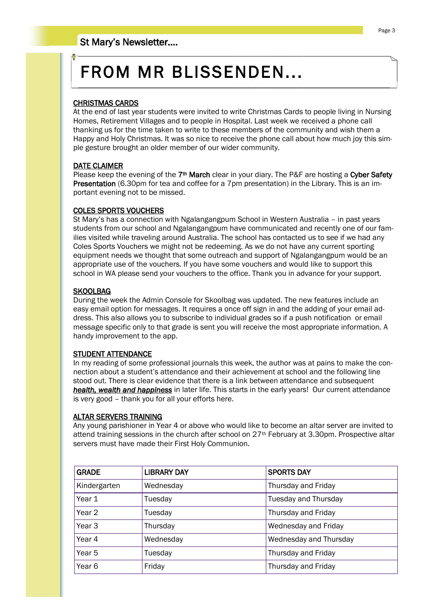# FROM MR BLISSENDEN...

## CHRISTMAS CARDS

At the end of last year students were invited to write Christmas Cards to people living in Nursing Homes, Retirement Villages and to people in Hospital. Last week we received a phone call thanking us for the time taken to write to these members of the community and wish them a Happy and Holy Christmas. It was so nice to receive the phone call about how much joy this simple gesture brought an older member of our wider community.

#### DATE CLAIMER

Please keep the evening of the 7<sup>th</sup> March clear in your diary. The P&F are hosting a Cyber Safety Presentation (6.30pm for tea and coffee for a 7pm presentation) in the Library. This is an important evening not to be missed.

### COLES SPORTS VOUCHERS

St Mary's has a connection with Ngalangangpum School in Western Australia – in past years students from our school and Ngalangangpum have communicated and recently one of our families visited while traveling around Australia. The school has contacted us to see if we had any Coles Sports Vouchers we might not be redeeming. As we do not have any current sporting equipment needs we thought that some outreach and support of Ngalangangpum would be an appropriate use of the vouchers. If you have some vouchers and would like to support this school in WA please send your vouchers to the office. Thank you in advance for your support.

#### SKOOLBAG

During the week the Admin Console for Skoolbag was updated. The new features include an easy email option for messages. It requires a once off sign in and the adding of your email address. This also allows you to subscribe to individual grades so if a push notification or email message specific only to that grade is sent you will receive the most appropriate information. A handy improvement to the app.

### STUDENT ATTENDANCE

In my reading of some professional journals this week, the author was at pains to make the connection about a student's attendance and their achievement at school and the following line stood out. There is clear evidence that there is a link between attendance and subsequent *health, wealth and happiness* in later life. This starts in the early years! Our current attendance is very good – thank you for all your efforts here.

#### ALTAR SERVERS TRAINING

Any young parishioner in Year 4 or above who would like to become an altar server are invited to attend training sessions in the church after school on 27th February at 3.30pm. Prospective altar servers must have made their First Holy Communion.

| <b>GRADE</b>      | <b>LIBRARY DAY</b> | <b>SPORTS DAY</b>      |
|-------------------|--------------------|------------------------|
| Kindergarten      | Wednesday          | Thursday and Friday    |
| Year 1            | Tuesday            | Tuesday and Thursday   |
| Year 2            | Tuesday            | Thursday and Friday    |
| Year 3            | Thursday           | Wednesday and Friday   |
| Year 4            | Wednesday          | Wednesday and Thursday |
| Year <sub>5</sub> | Tuesday            | Thursday and Friday    |
| Year <sub>6</sub> | Friday             | Thursday and Friday    |